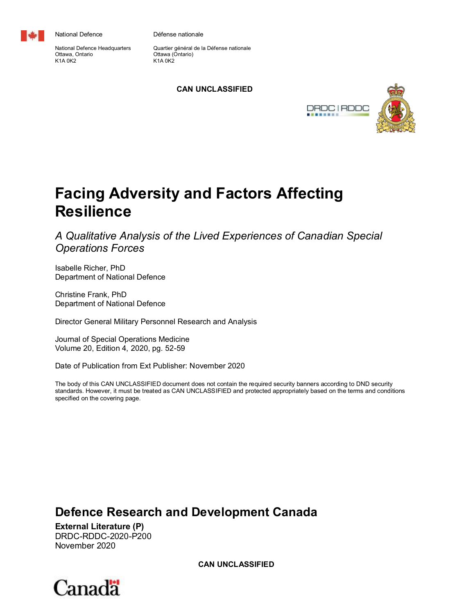

National Defence

National Defence Headquarters Ottawa, Ontario K1A 0K2

Défense nationale

Quartier général de la Défense nationale Ottawa (Ontario) K1A 0K2

# **CAN UNCLASSIFIED**



# **Facing Adversity and Factors Affecting Resilience**

*A Qualitative Analysis of the Lived Experiences of Canadian Special Operations Forces*

Isabelle Richer, PhD Department of National Defence

Christine Frank, PhD Department of National Defence

Director General Military Personnel Research and Analysis

Journal of Special Operations Medicine Volume 20, Edition 4, 2020, pg. 52-59

Date of Publication from Ext Publisher: November 2020

The body of this CAN UNCLASSIFIED document does not contain the required security banners according to DND security standards. However, it must be treated as CAN UNCLASSIFIED and protected appropriately based on the terms and conditions specified on the covering page.

# **Defence Research and Development Canada**

**External Literature (P)** DRDC-RDDC-2020-P200 November 2020

**CAN UNCLASSIFIED**

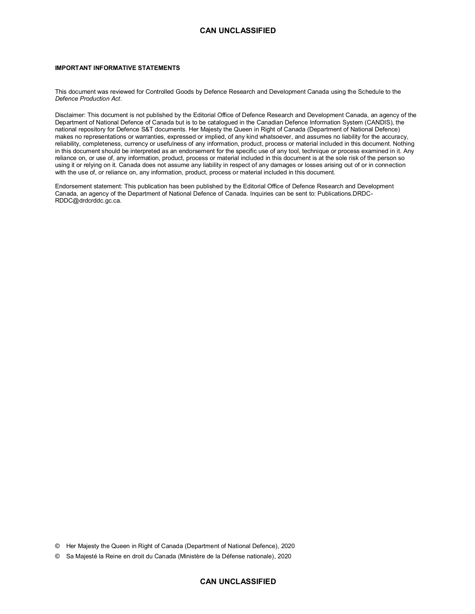### **CAN UNCLASSIFIED**

#### **IMPORTANT INFORMATIVE STATEMENTS**

This document was reviewed for Controlled Goods by Defence Research and Development Canada using the Schedule to the *Defence Production Act*.

Disclaimer: This document is not published by the Editorial Office of Defence Research and Development Canada, an agency of the Department of National Defence of Canada but is to be catalogued in the Canadian Defence Information System (CANDIS), the national repository for Defence S&T documents. Her Majesty the Queen in Right of Canada (Department of National Defence) makes no representations or warranties, expressed or implied, of any kind whatsoever, and assumes no liability for the accuracy, reliability, completeness, currency or usefulness of any information, product, process or material included in this document. Nothing in this document should be interpreted as an endorsement for the specific use of any tool, technique or process examined in it. Any reliance on, or use of, any information, product, process or material included in this document is at the sole risk of the person so using it or relying on it. Canada does not assume any liability in respect of any damages or losses arising out of or in connection with the use of, or reliance on, any information, product, process or material included in this document.

Endorsement statement: This publication has been published by the Editorial Office of Defence Research and Development Canada, an agency of the Department of National Defence of Canada. Inquiries can be sent to: Publications.DRDC-RDDC@drdcrddc.gc.ca.

© Her Majesty the Queen in Right of Canada (Department of National Defence), 2020

© Sa Majesté la Reine en droit du Canada (Ministère de la Défense nationale), 2020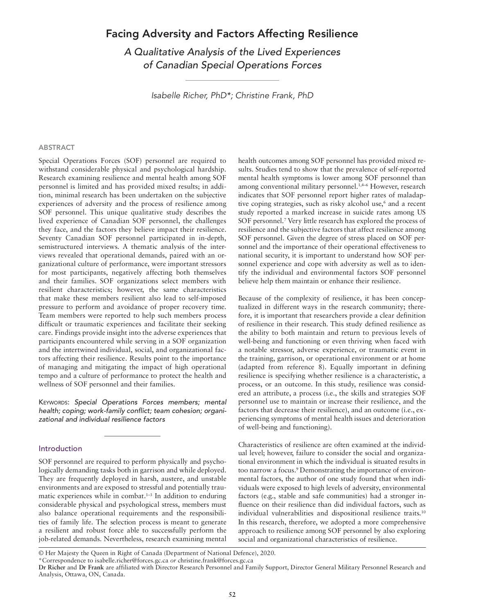# Facing Adversity and Factors Affecting Resilience

A Qualitative Analysis of the Lived Experiences of Canadian Special Operations Forces

Isabelle Richer, PhD\*; Christine Frank, PhD

#### ABSTRACT

Special Operations Forces (SOF) personnel are required to withstand considerable physical and psychological hardship. Research examining resilience and mental health among SOF personnel is limited and has provided mixed results; in addition, minimal research has been undertaken on the subjective experiences of adversity and the process of resilience among SOF personnel. This unique qualitative study describes the lived experience of Canadian SOF personnel, the challenges they face, and the factors they believe impact their resilience. Seventy Canadian SOF personnel participated in in-depth, semistructured interviews. A thematic analysis of the interviews revealed that operational demands, paired with an organizational culture of performance, were important stressors for most participants, negatively affecting both themselves and their families. SOF organizations select members with resilient characteristics; however, the same characteristics that make these members resilient also lead to self-imposed pressure to perform and avoidance of proper recovery time. Team members were reported to help such members process difficult or traumatic experiences and facilitate their seeking care. Findings provide insight into the adverse experiences that participants encountered while serving in a SOF organization and the intertwined individual, social, and organizational factors affecting their resilience. Results point to the importance of managing and mitigating the impact of high operational tempo and a culture of performance to protect the health and wellness of SOF personnel and their families.

KEYWORDS: Special Operations Forces members; mental health; coping; work-family conflict; team cohesion; organizational and individual resilience factors

#### Introduction

SOF personnel are required to perform physically and psychologically demanding tasks both in garrison and while deployed. They are frequently deployed in harsh, austere, and unstable environments and are exposed to stressful and potentially traumatic experiences while in combat.<sup>1-3</sup> In addition to enduring considerable physical and psychological stress, members must also balance operational requirements and the responsibilities of family life. The selection process is meant to generate a resilient and robust force able to successfully perform the job-related demands. Nevertheless, research examining mental health outcomes among SOF personnel has provided mixed results. Studies tend to show that the prevalence of self-reported mental health symptoms is lower among SOF personnel than among conventional military personnel.1,4–6 However, research indicates that SOF personnel report higher rates of maladaptive coping strategies, such as risky alcohol use,<sup>6</sup> and a recent study reported a marked increase in suicide rates among US SOF personnel.<sup>7</sup> Very little research has explored the process of resilience and the subjective factors that affect resilience among SOF personnel. Given the degree of stress placed on SOF personnel and the importance of their operational effectiveness to national security, it is important to understand how SOF personnel experience and cope with adversity as well as to identify the individual and environmental factors SOF personnel believe help them maintain or enhance their resilience.

Because of the complexity of resilience, it has been conceptualized in different ways in the research community; therefore, it is important that researchers provide a clear definition of resilience in their research. This study defined resilience as the ability to both maintain and return to previous levels of well-being and functioning or even thriving when faced with a notable stressor, adverse experience, or traumatic event in the training, garrison, or operational environment or at home (adapted from reference 8). Equally important in defining resilience is specifying whether resilience is a characteristic, a process, or an outcome. In this study, resilience was considered an attribute, a process (i.e., the skills and strategies SOF personnel use to maintain or increase their resilience, and the factors that decrease their resilience), and an outcome (i.e., experiencing symptoms of mental health issues and deterioration of well-being and functioning).

Characteristics of resilience are often examined at the individual level; however, failure to consider the social and organizational environment in which the individual is situated results in too narrow a focus.<sup>9</sup> Demonstrating the importance of environmental factors, the author of one study found that when individuals were exposed to high levels of adversity, environmental factors (e.g., stable and safe communities) had a stronger influence on their resilience than did individual factors, such as individual vulnerabilities and dispositional resilience traits.10 In this research, therefore, we adopted a more comprehensive approach to resilience among SOF personnel by also exploring social and organizational characteristics of resilience.

© Her Majesty the Queen in Right of Canada (Department of National Defence), 2020.

<sup>\*</sup>Correspondence to isabelle.richer@forces.gc.ca or christine.frank@forces.gc.ca

Dr Richer and Dr Frank are affiliated with Director Research Personnel and Family Support, Director General Military Personnel Research and Analysis, Ottawa, ON, Canada.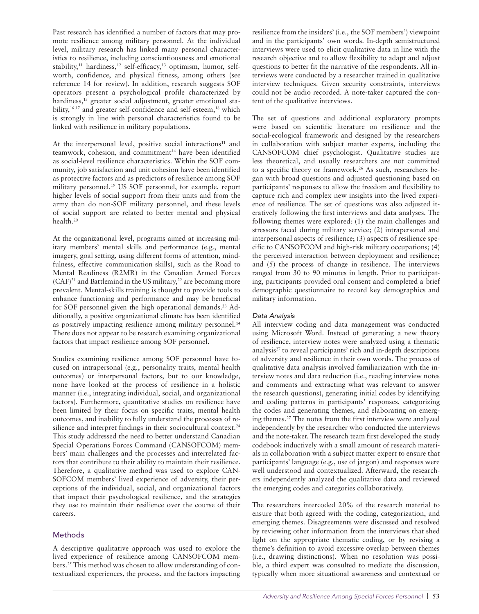Past research has identified a number of factors that may promote resilience among military personnel. At the individual level, military research has linked many personal characteristics to resilience, including conscientiousness and emotional stability,<sup>11</sup> hardiness,<sup>12</sup> self-efficacy,<sup>13</sup> optimism, humor, selfworth, confidence, and physical fitness, among others (see reference 14 for review). In addition, research suggests SOF operators present a psychological profile characterized by hardiness,<sup>15</sup> greater social adjustment, greater emotional stability,<sup>16,17</sup> and greater self-confidence and self-esteem,<sup>18</sup> which is strongly in line with personal characteristics found to be linked with resilience in military populations.

At the interpersonal level, positive social interactions<sup>11</sup> and teamwork, cohesion, and commitment<sup>14</sup> have been identified as social-level resilience characteristics. Within the SOF community, job satisfaction and unit cohesion have been identified as protective factors and as predictors of resilience among SOF military personnel.19 US SOF personnel, for example, report higher levels of social support from their units and from the army than do non-SOF military personnel, and these levels of social support are related to better mental and physical health.20

At the organizational level, programs aimed at increasing military members' mental skills and performance (e.g., mental imagery, goal setting, using different forms of attention, mindfulness, effective communication skills), such as the Road to Mental Readiness (R2MR) in the Canadian Armed Forces  $(CAF)^{21}$  and Battlemind in the US military,<sup>22</sup> are becoming more prevalent. Mental-skills training is thought to provide tools to enhance functioning and performance and may be beneficial for SOF personnel given the high operational demands.<sup>23</sup> Additionally, a positive organizational climate has been identified as positively impacting resilience among military personnel.<sup>14</sup> There does not appear to be research examining organizational factors that impact resilience among SOF personnel.

Studies examining resilience among SOF personnel have focused on intrapersonal (e.g., personality traits, mental health outcomes) or interpersonal factors, but to our knowledge, none have looked at the process of resilience in a holistic manner (i.e., integrating individual, social, and organizational factors). Furthermore, quantitative studies on resilience have been limited by their focus on specific traits, mental health outcomes, and inability to fully understand the processes of resilience and interpret findings in their sociocultural context.<sup>24</sup> This study addressed the need to better understand Canadian Special Operations Forces Command (CANSOFCOM) members' main challenges and the processes and interrelated factors that contribute to their ability to maintain their resilience. Therefore, a qualitative method was used to explore CAN-SOFCOM members' lived experience of adversity, their perceptions of the individual, social, and organizational factors that impact their psychological resilience, and the strategies they use to maintain their resilience over the course of their careers.

# **Methods**

A descriptive qualitative approach was used to explore the lived experience of resilience among CANSOFCOM members.25 This method was chosen to allow understanding of contextualized experiences, the process, and the factors impacting resilience from the insiders' (i.e., the SOF members') viewpoint and in the participants' own words. In-depth semistructured interviews were used to elicit qualitative data in line with the research objective and to allow flexibility to adapt and adjust questions to better fit the narrative of the respondents. All interviews were conducted by a researcher trained in qualitative interview techniques. Given security constraints, interviews could not be audio recorded. A note-taker captured the content of the qualitative interviews.

The set of questions and additional exploratory prompts were based on scientific literature on resilience and the social-ecological framework and designed by the researchers in collaboration with subject matter experts, including the CANSOFCOM chief psychologist. Qualitative studies are less theoretical, and usually researchers are not committed to a specific theory or framework.<sup>26</sup> As such, researchers began with broad questions and adjusted questioning based on participants' responses to allow the freedom and flexibility to capture rich and complex new insights into the lived experience of resilience. The set of questions was also adjusted iteratively following the first interviews and data analyses. The following themes were explored: (1) the main challenges and stressors faced during military service; (2) intrapersonal and interpersonal aspects of resilience; (3) aspects of resilience specific to CANSOFCOM and high-risk military occupations; (4) the perceived interaction between deployment and resilience; and (5) the process of change in resilience. The interviews ranged from 30 to 90 minutes in length. Prior to participating, participants provided oral consent and completed a brief demographic questionnaire to record key demographics and military information.

#### Data Analysis

All interview coding and data management was conducted using Microsoft Word. Instead of generating a new theory of resilience, interview notes were analyzed using a thematic analysis<sup>27</sup> to reveal participants' rich and in-depth descriptions of adversity and resilience in their own words. The process of qualitative data analysis involved familiarization with the interview notes and data reduction (i.e., reading interview notes and comments and extracting what was relevant to answer the research questions), generating initial codes by identifying and coding patterns in participants' responses, categorizing the codes and generating themes, and elaborating on emerging themes.27 The notes from the first interview were analyzed independently by the researcher who conducted the interviews and the note-taker. The research team first developed the study codebook inductively with a small amount of research materials in collaboration with a subject matter expert to ensure that participants' language (e.g., use of jargon) and responses were well understood and contextualized. Afterward, the researchers independently analyzed the qualitative data and reviewed the emerging codes and categories collaboratively.

The researchers intercoded 20% of the research material to ensure that both agreed with the coding, categorization, and emerging themes. Disagreements were discussed and resolved by reviewing other information from the interviews that shed light on the appropriate thematic coding, or by revising a theme's definition to avoid excessive overlap between themes (i.e., drawing distinctions). When no resolution was possible, a third expert was consulted to mediate the discussion, typically when more situational awareness and contextual or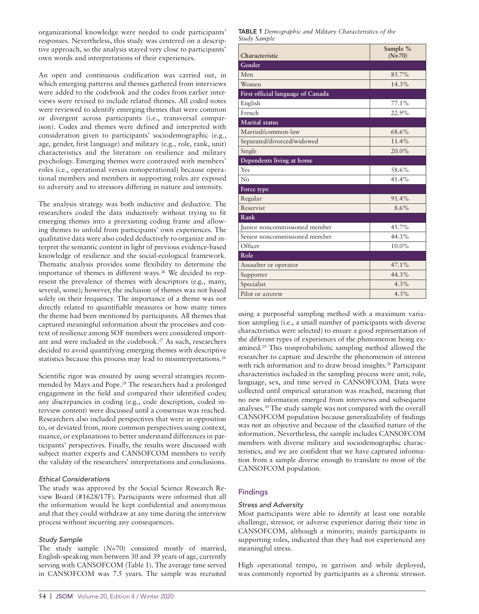organizational knowledge were needed to code participants' responses. Nevertheless, this study was centered on a descriptive approach, so the analysis stayed very close to participants' own words and interpretations of their experiences.

An open and continuous codification was carried out, in which emerging patterns and themes gathered from interviews were added to the codebook and the codes from earlier interviews were revised to include related themes. All coded notes were reviewed to identify emerging themes that were common or divergent across participants (i.e., transversal comparison). Codes and themes were defined and interpreted with consideration given to participants' sociodemographic (e.g., age, gender, first language) and military (e.g., role, rank, unit) characteristics and the literature on resilience and military psychology. Emerging themes were contrasted with members' roles (i.e., operational versus nonoperational) because operational members and members in supporting roles are exposed to adversity and to stressors differing in nature and intensity.

The analysis strategy was both inductive and deductive. The researchers coded the data inductively without trying to fit emerging themes into a preexisting coding frame and allowing themes to unfold from participants' own experiences. The qualitative data were also coded deductively to organize and interpret the semantic content in light of previous evidence-based knowledge of resilience and the social-ecological framework. Thematic analysis provides some flexibility to determine the importance of themes in different ways.<sup>26</sup> We decided to represent the prevalence of themes with descriptors (e.g., many, several, some); however, the inclusion of themes was not based solely on their frequency. The importance of a theme was not directly related to quantifiable measures or how many times the theme had been mentioned by participants. All themes that captured meaningful information about the processes and context of resilience among SOF members were considered important and were included in the codebook.27 As such, researchers decided to avoid quantifying emerging themes with descriptive statistics because this process may lead to misinterpretations.<sup>26</sup>

Scientific rigor was ensured by using several strategies recommended by Mays and Pope.28 The researchers had a prolonged engagement in the field and compared their identified codes; any discrepancies in coding (e.g., code description, coded interview content) were discussed until a consensus was reached. Researchers also included perspectives that were in opposition to, or deviated from, more common perspectives using context, nuance, or explanations to better understand differences in participants' perspectives. Finally, the results were discussed with subject matter experts and CANSOFCOM members to verify the validity of the researchers' interpretations and conclusions.

#### Ethical Considerations

The study was approved by the Social Science Research Review Board (#1628/17F). Participants were informed that all the information would be kept confidential and anonymous and that they could withdraw at any time during the interview process without incurring any consequences.

#### Study Sample

The study sample  $(N=70)$  consisted mostly of married, English-speaking men between 30 and 39 years of age, currently serving with CANSOFCOM (Table 1). The average time served in CANSOFCOM was 7.5 years. The sample was recruited TABLE 1 Demographic and Military Characteristics of the Study Sample

| Characteristic                    | Sample %<br>$(N=70)$ |
|-----------------------------------|----------------------|
| Gender                            |                      |
| Men                               | 85.7%                |
| Women                             | 14.3%                |
| First official language of Canada |                      |
| English                           | 77.1%                |
| French                            | 22.9%                |
| <b>Marital</b> status             |                      |
| Married/common-law                | 68.6%                |
| Separated/divorced/widowed        | 11.4%                |
| Single                            | 20.0%                |
| Dependents living at home         |                      |
| Yes                               | 58.6%                |
| No                                | 41.4%                |
| Force type                        |                      |
| Regular                           | 91.4%                |
| Reservist                         | 8.6%                 |
| Rank                              |                      |
| Junior noncommissioned member     | 45.7%                |
| Senior noncommissioned member     | 44.3%                |
| Officer                           | 10.0%                |
| Role                              |                      |
| Assaulter or operator             | 47.1%                |
| Supporter                         | 44.3%                |
| Specialist                        | $4.3\%$              |
| Pilot or aircrew                  | 4.3%                 |

using a purposeful sampling method with a maximum variation sampling (i.e., a small number of participants with diverse characteristics were selected) to ensure a good representation of the different types of experiences of the phenomenon being examined.29 This nonprobabilistic sampling method allowed the researcher to capture and describe the phenomenon of interest with rich information and to draw broad insights.<sup>26</sup> Participant characteristics included in the sampling process were unit, role, language, sex, and time served in CANSOFCOM. Data were collected until empirical saturation was reached, meaning that no new information emerged from interviews and subsequent analyses.30 The study sample was not compared with the overall CANSOFCOM population because generalizability of findings was not an objective and because of the classified nature of the information. Nevertheless, the sample includes CANSOFCOM members with diverse military and sociodemographic characteristics, and we are confident that we have captured information from a sample diverse enough to translate to most of the CANSOFCOM population.

# Findings

#### Stress and Adversity

Most participants were able to identify at least one notable challenge, stressor, or adverse experience during their time in CANSOFCOM, although a minority, mainly participants in supporting roles, indicated that they had not experienced any meaningful stress.

High operational tempo, in garrison and while deployed, was commonly reported by participants as a chronic stressor.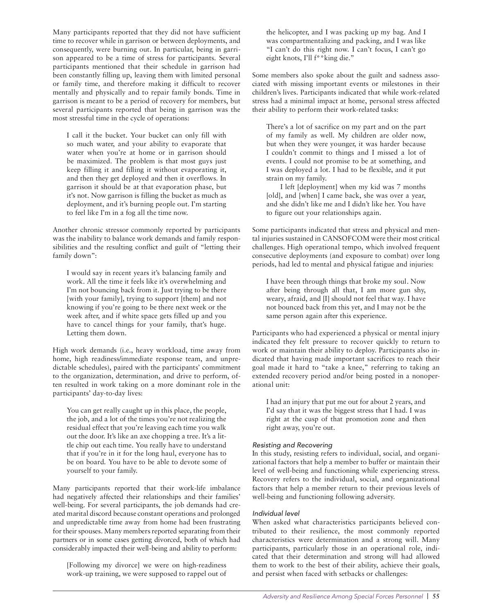Many participants reported that they did not have sufficient time to recover while in garrison or between deployments, and consequently, were burning out. In particular, being in garrison appeared to be a time of stress for participants. Several participants mentioned that their schedule in garrison had been constantly filling up, leaving them with limited personal or family time, and therefore making it difficult to recover mentally and physically and to repair family bonds. Time in garrison is meant to be a period of recovery for members, but several participants reported that being in garrison was the most stressful time in the cycle of operations:

I call it the bucket. Your bucket can only fill with so much water, and your ability to evaporate that water when you're at home or in garrison should be maximized. The problem is that most guys just keep filling it and filling it without evaporating it, and then they get deployed and then it overflows. In garrison it should be at that evaporation phase, but it's not. Now garrison is filling the bucket as much as deployment, and it's burning people out. I'm starting to feel like I'm in a fog all the time now.

Another chronic stressor commonly reported by participants was the inability to balance work demands and family responsibilities and the resulting conflict and guilt of "letting their family down":

I would say in recent years it's balancing family and work. All the time it feels like it's overwhelming and I'm not bouncing back from it. Just trying to be there [with your family], trying to support [them] and not knowing if you're going to be there next week or the week after, and if white space gets filled up and you have to cancel things for your family, that's huge. Letting them down.

High work demands (i.e., heavy workload, time away from home, high readiness/immediate response team, and unpredictable schedules), paired with the participants' commitment to the organization, determination, and drive to perform, often resulted in work taking on a more dominant role in the participants' day-to-day lives:

You can get really caught up in this place, the people, the job, and a lot of the times you're not realizing the residual effect that you're leaving each time you walk out the door. It's like an axe chopping a tree. It's a little chip out each time. You really have to understand that if you're in it for the long haul, everyone has to be on board. You have to be able to devote some of yourself to your family.

Many participants reported that their work-life imbalance had negatively affected their relationships and their families' well-being. For several participants, the job demands had created marital discord because constant operations and prolonged and unpredictable time away from home had been frustrating for their spouses. Many members reported separating from their partners or in some cases getting divorced, both of which had considerably impacted their well-being and ability to perform:

[Following my divorce] we were on high-readiness work-up training, we were supposed to rappel out of

the helicopter, and I was packing up my bag. And I was compartmentalizing and packing, and I was like "I can't do this right now. I can't focus, I can't go eight knots, I'll f\*\*king die."

Some members also spoke about the guilt and sadness associated with missing important events or milestones in their children's lives. Participants indicated that while work-related stress had a minimal impact at home, personal stress affected their ability to perform their work-related tasks:

There's a lot of sacrifice on my part and on the part of my family as well. My children are older now, but when they were younger, it was harder because I couldn't commit to things and I missed a lot of events. I could not promise to be at something, and I was deployed a lot. I had to be flexible, and it put strain on my family.

I left [deployment] when my kid was 7 months [old], and [when] I came back, she was over a year, and she didn't like me and I didn't like her. You have to figure out your relationships again.

Some participants indicated that stress and physical and mental injuries sustained in CANSOFCOM were their most critical challenges. High operational tempo, which involved frequent consecutive deployments (and exposure to combat) over long periods, had led to mental and physical fatigue and injuries:

I have been through things that broke my soul. Now after being through all that, I am more gun shy, weary, afraid, and [I] should not feel that way. I have not bounced back from this yet, and I may not be the same person again after this experience.

Participants who had experienced a physical or mental injury indicated they felt pressure to recover quickly to return to work or maintain their ability to deploy. Participants also indicated that having made important sacrifices to reach their goal made it hard to "take a knee," referring to taking an extended recovery period and/or being posted in a nonoperational unit:

I had an injury that put me out for about 2 years, and I'd say that it was the biggest stress that I had. I was right at the cusp of that promotion zone and then right away, you're out.

### Resisting and Recovering

In this study, resisting refers to individual, social, and organizational factors that help a member to buffer or maintain their level of well-being and functioning while experiencing stress. Recovery refers to the individual, social, and organizational factors that help a member return to their previous levels of well-being and functioning following adversity.

#### Individual level

When asked what characteristics participants believed contributed to their resilience, the most commonly reported characteristics were determination and a strong will. Many participants, particularly those in an operational role, indicated that their determination and strong will had allowed them to work to the best of their ability, achieve their goals, and persist when faced with setbacks or challenges: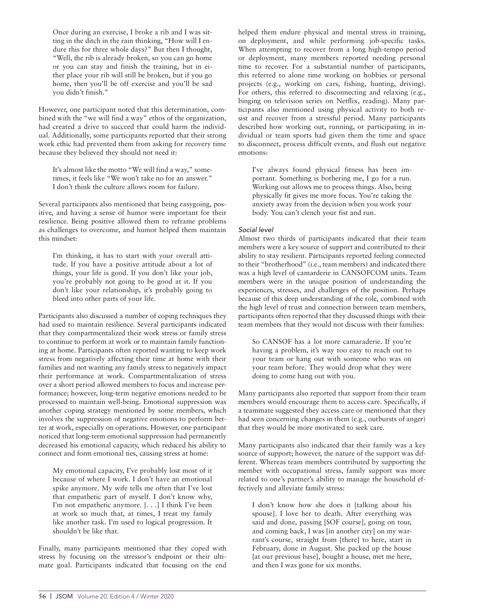Once during an exercise, I broke a rib and I was sitting in the ditch in the rain thinking, "How will I endure this for three whole days?" But then I thought, "Well, the rib is already broken, so you can go home or you can stay and finish the training, but in either place your rib will still be broken, but if you go home, then you'll be off exercise and you'll be sad you didn't finish."

However, one participant noted that this determination, combined with the "we will find a way" ethos of the organization, had created a drive to succeed that could harm the individual. Additionally, some participants reported that their strong work ethic had prevented them from asking for recovery time because they believed they should not need it:

It's almost like the motto "We will find a way," sometimes, it feels like "We won't take no for an answer." I don't think the culture allows room for failure.

Several participants also mentioned that being easygoing, positive, and having a sense of humor were important for their resilience. Being positive allowed them to reframe problems as challenges to overcome, and humor helped them maintain this mindset:

I'm thinking, it has to start with your overall attitude. If you have a positive attitude about a lot of things, your life is good. If you don't like your job, you're probably not going to be good at it. If you don't like your relationship, it's probably going to bleed into other parts of your life.

Participants also discussed a number of coping techniques they had used to maintain resilience. Several participants indicated that they compartmentalized their work stress or family stress to continue to perform at work or to maintain family functioning at home. Participants often reported wanting to keep work stress from negatively affecting their time at home with their families and not wanting any family stress to negatively impact their performance at work. Compartmentalization of stress over a short period allowed members to focus and increase performance; however, long-term negative emotions needed to be processed to maintain well-being. Emotional suppression was another coping strategy mentioned by some members, which involves the suppression of negative emotions to perform better at work, especially on operations. However, one participant noticed that long-term emotional suppression had permanently decreased his emotional capacity, which reduced his ability to connect and form emotional ties, causing stress at home:

My emotional capacity, I've probably lost most of it because of where I work. I don't have an emotional spike anymore. My wife tells me often that I've lost that empathetic part of myself. I don't know why, I'm not empathetic anymore. [. . .] I think I've been at work so much that, at times, I treat my family like another task. I'm used to logical progression. It shouldn't be like that.

Finally, many participants mentioned that they coped with stress by focusing on the stressor's endpoint or their ultimate goal. Participants indicated that focusing on the end helped them endure physical and mental stress in training, on deployment, and while performing job-specific tasks. When attempting to recover from a long high-tempo period or deployment, many members reported needing personal time to recover. For a substantial number of participants, this referred to alone time working on hobbies or personal projects (e.g., working on cars, fishing, hunting, driving). For others, this referred to disconnecting and relaxing (e.g., binging on television series on Netflix, reading). Many participants also mentioned using physical activity to both resist and recover from a stressful period. Many participants described how working out, running, or participating in individual or team sports had given them the time and space to disconnect, process difficult events, and flush out negative emotions:

I've always found physical fitness has been important. Something is bothering me, I go for a run. Working out allows me to process things. Also, being physically fit gives me more focus. You're taking the anxiety away from the decision when you work your body. You can't clench your fist and run.

#### Social level

Almost two thirds of participants indicated that their team members were a key source of support and contributed to their ability to stay resilient. Participants reported feeling connected to their "brotherhood" (i.e., team members) and indicated there was a high level of camarderie in CANSOFCOM units. Team members were in the unique position of understanding the experiences, stresses, and challenges of the position. Perhaps because of this deep understanding of the role, combined with the high level of trust and connection between team members, participants often reported that they discussed things with their team members that they would not discuss with their families:

So CANSOF has a lot more camaraderie. If you're having a problem, it's way too easy to reach out to your team or hang out with someone who was on your team before. They would drop what they were doing to come hang out with you.

Many participants also reported that support from their team members would encourage them to access care. Specifically, if a teammate suggested they access care or mentioned that they had seen concerning changes in them (e.g., outbursts of anger) that they would be more motivated to seek care.

Many participants also indicated that their family was a key source of support; however, the nature of the support was different. Whereas team members contributed by supporting the member with occupational stress, family support was more related to one's partner's ability to manage the household effectively and alleviate family stress:

I don't know how she does it [talking about his spouse]. I love her to death. After everything was said and done, passing [SOF course], going on tour, and coming back, I was [in another city] on my warrant's course, straight from [there] to here, start in February, done in August. She packed up the house [at our previous base], bought a house, met me here, and then I was gone for six months.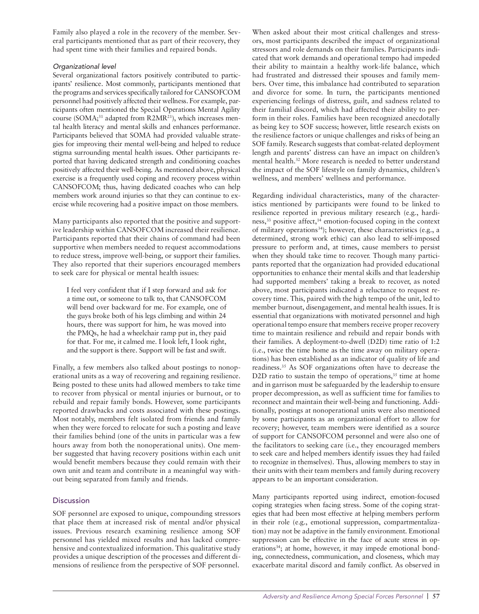Family also played a role in the recovery of the member. Several participants mentioned that as part of their recovery, they had spent time with their families and repaired bonds.

# Organizational level

Several organizational factors positively contributed to participants' resilience. Most commonly, participants mentioned that the programs and services specifically tailored for CANSOFCOM personnel had positively affected their wellness. For example, participants often mentioned the Special Operations Mental Agility course (SOMA;<sup>31</sup> adapted from R2MR<sup>21</sup>), which increases mental health literacy and mental skills and enhances performance. Participants believed that SOMA had provided valuable strategies for improving their mental well-being and helped to reduce stigma surrounding mental health issues. Other participants reported that having dedicated strength and conditioning coaches positively affected their well-being. As mentioned above, physical exercise is a frequently used coping and recovery process within CANSOFCOM; thus, having dedicated coaches who can help members work around injuries so that they can continue to exercise while recovering had a positive impact on those members.

Many participants also reported that the positive and supportive leadership within CANSOFCOM increased their resilience. Participants reported that their chains of command had been supportive when members needed to request accommodations to reduce stress, improve well-being, or support their families. They also reported that their superiors encouraged members to seek care for physical or mental health issues:

I feel very confident that if I step forward and ask for a time out, or someone to talk to, that CANSOFCOM will bend over backward for me. For example, one of the guys broke both of his legs climbing and within 24 hours, there was support for him, he was moved into the PMQs, he had a wheelchair ramp put in, they paid for that. For me, it calmed me. I look left, I look right, and the support is there. Support will be fast and swift.

Finally, a few members also talked about postings to nonoperational units as a way of recovering and regaining resilience. Being posted to these units had allowed members to take time to recover from physical or mental injuries or burnout, or to rebuild and repair family bonds. However, some participants reported drawbacks and costs associated with these postings. Most notably, members felt isolated from friends and family when they were forced to relocate for such a posting and leave their families behind (one of the units in particular was a few hours away from both the nonoperational units). One member suggested that having recovery positions within each unit would benefit members because they could remain with their own unit and team and contribute in a meaningful way without being separated from family and friends.

# **Discussion**

SOF personnel are exposed to unique, compounding stressors that place them at increased risk of mental and/or physical issues. Previous research examining resilience among SOF personnel has yielded mixed results and has lacked comprehensive and contextualized information. This qualitative study provides a unique description of the processes and different dimensions of resilience from the perspective of SOF personnel.

When asked about their most critical challenges and stressors, most participants described the impact of organizational stressors and role demands on their families. Participants indicated that work demands and operational tempo had impeded their ability to maintain a healthy work-life balance, which had frustrated and distressed their spouses and family members. Over time, this imbalance had contributed to separation and divorce for some. In turn, the participants mentioned experiencing feelings of distress, guilt, and sadness related to their familial discord, which had affected their ability to perform in their roles. Families have been recognized anecdotally as being key to SOF success; however, little research exists on the resilience factors or unique challenges and risks of being an SOF family. Research suggests that combat-related deployment length and parents' distress can have an impact on children's mental health.32 More research is needed to better understand the impact of the SOF lifestyle on family dynamics, children's wellness, and members' wellness and performance.

Regarding individual characteristics, many of the characteristics mentioned by participants were found to be linked to resilience reported in previous military research (e.g., hardiness,<sup>33</sup> positive affect,<sup>14</sup> emotion-focused coping in the context of military operations<sup>34</sup>); however, these characteristics (e.g., a determined, strong work ethic) can also lead to self-imposed pressure to perform and, at times, cause members to persist when they should take time to recover. Though many participants reported that the organization had provided educational opportunities to enhance their mental skills and that leadership had supported members' taking a break to recover, as noted above, most participants indicated a reluctance to request recovery time. This, paired with the high tempo of the unit, led to member burnout, disengagement, and mental health issues. It is essential that organizations with motivated personnel and high operational tempo ensure that members receive proper recovery time to maintain resilience and rebuild and repair bonds with their families. A deployment-to-dwell (D2D) time ratio of 1:2 (i.e., twice the time home as the time away on military operations) has been established as an indicator of quality of life and readiness.35 As SOF organizations often have to decrease the D2D ratio to sustain the tempo of operations, $35$  time at home and in garrison must be safeguarded by the leadership to ensure proper decompression, as well as sufficient time for families to reconnect and maintain their well-being and functioning. Additionally, postings at nonoperational units were also mentioned by some participants as an organizational effort to allow for recovery; however, team members were identified as a source of support for CANSOFCOM personnel and were also one of the facilitators to seeking care (i.e., they encouraged members to seek care and helped members identify issues they had failed to recognize in themselves). Thus, allowing members to stay in their units with their team members and family during recovery appears to be an important consideration.

Many participants reported using indirect, emotion-focused coping strategies when facing stress. Some of the coping strategies that had been most effective at helping members perform in their role (e.g., emotional suppression, compartmentalization) may not be adaptive in the family environment. Emotional suppression can be effective in the face of acute stress in operations<sup>34</sup>; at home, however, it may impede emotional bonding, connectedness, communication, and closeness, which may exacerbate marital discord and family conflict. As observed in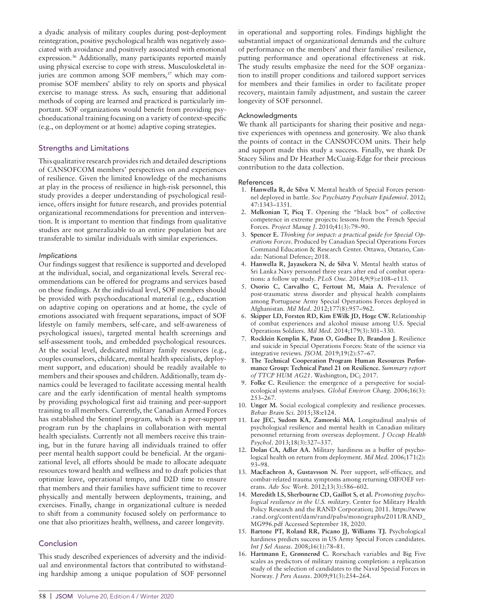a dyadic analysis of military couples during post-deployment reintegration, positive psychological health was negatively associated with avoidance and positively associated with emotional expression.36 Additionally, many participants reported mainly using physical exercise to cope with stress. Musculoskeletal injuries are common among SOF members,<sup>37</sup> which may compromise SOF members' ability to rely on sports and physical exercise to manage stress. As such, ensuring that additional methods of coping are learned and practiced is particularly important. SOF organizations would benefit from providing psychoeducational training focusing on a variety of context-specific (e.g., on deployment or at home) adaptive coping strategies.

# Strengths and Limitations

This qualitative research provides rich and detailed descriptions of CANSOFCOM members' perspectives on and experiences of resilience. Given the limited knowledge of the mechanisms at play in the process of resilience in high-risk personnel, this study provides a deeper understanding of psychological resilience, offers insight for future research, and provides potential organizational recommendations for prevention and intervention. It is important to mention that findings from qualitative studies are not generalizable to an entire population but are transferable to similar individuals with similar experiences.

#### Implications

Our findings suggest that resilience is supported and developed at the individual, social, and organizational levels. Several recommendations can be offered for programs and services based on these findings. At the individual level, SOF members should be provided with psychoeducational material (e.g., education on adaptive coping on operations and at home, the cycle of emotions associated with frequent separations, impact of SOF lifestyle on family members, self-care, and self-awareness of psychological issues), targeted mental health screenings and self-assessment tools, and embedded psychological resources. At the social level, dedicated military family resources (e.g., couples counselors, childcare, mental health specialists, deployment support, and education) should be readily available to members and their spouses and children. Additionally, team dynamics could be leveraged to facilitate accessing mental health care and the early identification of mental health symptoms by providing psychological first aid training and peer-support training to all members. Currently, the Canadian Armed Forces has established the Sentinel program, which is a peer-support program run by the chaplains in collaboration with mental health specialists. Currently not all members receive this training, but in the future having all individuals trained to offer peer mental health support could be beneficial. At the organizational level, all efforts should be made to allocate adequate resources toward health and wellness and to draft policies that optimize leave, operational tempo, and D2D time to ensure that members and their families have sufficient time to recover physically and mentally between deployments, training, and exercises. Finally, change in organizational culture is needed to shift from a community focused solely on performance to one that also prioritizes health, wellness, and career longevity.

# Conclusion

This study described experiences of adversity and the individual and environmental factors that contributed to withstanding hardship among a unique population of SOF personnel in operational and supporting roles. Findings highlight the substantial impact of organizational demands and the culture of performance on the members' and their families' resilience, putting performance and operational effectiveness at risk. The study results emphasize the need for the SOF organization to instill proper conditions and tailored support services for members and their families in order to facilitate proper recovery, maintain family adjustment, and sustain the career longevity of SOF personnel.

#### Acknowledgments

We thank all participants for sharing their positive and negative experiences with openness and generosity. We also thank the points of contact in the CANSOFCOM units. Their help and support made this study a success. Finally, we thank Dr Stacey Silins and Dr Heather McCuaig-Edge for their precious contribution to the data collection.

#### References

- 1. Hanwella R, de Silva V. Mental health of Special Forces personnel deployed in battle. Soc Psychiatry Psychiatr Epidemiol. 2012; 47:1343–1351.
- 2. Melkonian T, Picq T. Opening the "black box" of collective competence in extreme projects: lessons from the French Special Forces. Project Manag J. 2010;41(3):79–90.
- 3. Spencer E. Thinking for impact: a practical guide for Special Operations Forces. Produced by Canadian Special Operations Forces Command Education & Research Center. Ottawa, Ontario, Canada: National Defence; 2018.
- 4. Hanwella R, Jayasekera N, de Silva V. Mental health status of Sri Lanka Navy personnel three years after end of combat operations: a follow up study. PLoS One. 2014;9(9):e108–e113.
- 5. Osorio C, Carvalho C, Fertout M, Maia A. Prevalence of post-traumatic stress disorder and physical health complaints among Portuguese Army Special Operations Forces deployed in Afghanistan. Mil Med. 2012;177(8):957–962.
- 6. Skipper LD, Forsten RD, Kim EWilk JD, Hoge CW. Relationship of combat experiences and alcohol misuse among U.S. Special Operations Soldiers. Mil Med. 2014;179(3):301–330.
- 7. Rocklein Kemplin K, Paun O, Godbee D, Brandon J. Resilience and suicide in Special Operations Forces: State of the science via integrative reviews. JSOM. 2019;19(2):57–67.
- 8. The Technical Cooperation Program Human Resources Performance Group: Technical Panel 21 on Resilience. Summary report of TTCP HUM AG21. Washington, DC; 2017.
- 9. Folke C. Resilience: the emergence of a perspective for socialecological systems analyses. Global Environ Chang. 2006;16(3): 253–267.
- 10. Unger M. Social ecological complexity and resilience processes. Behav Brain Sci. 2015;38:e124.
- 11. Lee JEC, Sudom KA, Zamorski MA. Longitudinal analysis of psychological resilience and mental health in Canadian military personnel returning from overseas deployment. J Occup Health Psychol. 2013;18(3):327–337.
- 12. Dolan CA, Adler AA. Military hardiness as a buffer of psychological health on return from deployment. Mil Med. 2006;171(2): 93–98.
- 13. MacEachron A, Gustavsson N. Peer support, self-efficacy, and combat-related trauma symptoms among returning OIF/OEF veterans. Adv Soc Work. 2012;13(3):586–602.
- 14. Meredith LS, Sherbourne CD, Gaillot S, et al. Promoting psychological resilience in the U.S. military. Center for Military Health Policy Research and the RAND Corporation; 2011. https://www .rand.org/content/dam/rand/pubs/monographs/2011/RAND\_ MG996.pdf Accessed September 18, 2020.
- 15. Bartone PT, Roland RR, Picano JJ, Williams TJ. Psychological hardiness predicts success in US Army Special Forces candidates. Int J Sel Assess. 2008;16(1):78–81.
- 16. Hartmann E, Grønnerød C. Rorschach variables and Big Five scales as predictors of military training completion: a replication study of the selection of candidates to the Naval Special Forces in Norway. J Pers Assess. 2009;91(3):254–264.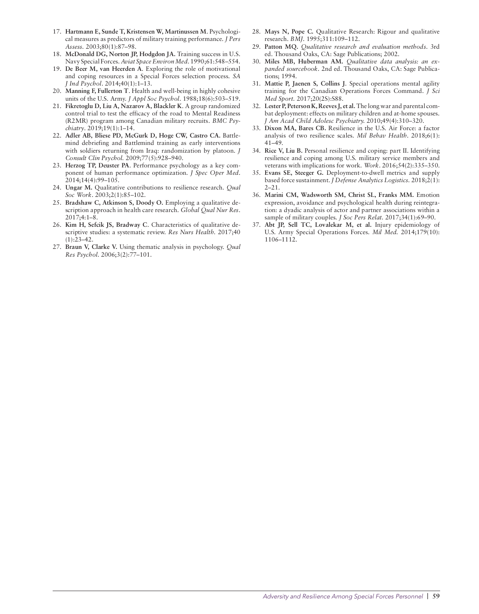- 17. Hartmann E, Sunde T, Kristensen W, Martinussen M. Psychological measures as predictors of military training performance. J Pers Assess. 2003;80(1):87–98.
- 18. McDonald DG, Norton JP, Hodgdon JA. Training success in U.S. Navy Special Forces. Aviat Space Environ Med. 1990;61:548–554.
- 19. De Beer M, van Heerden A. Exploring the role of motivational and coping resources in a Special Forces selection process. SA J Ind Psychol. 2014;40(1):1–13.
- 20. Manning F, Fullerton T. Health and well-being in highly cohesive units of the U.S. Army. J Appl Soc Psychol. 1988;18(6):503–519.
- 21. Fikretoglu D, Liu A, Nazarov A, Blackler K. A group randomized control trial to test the efficacy of the road to Mental Readiness (R2MR) program among Canadian military recruits. BMC Psychiatry. 2019;19(1):1–14.
- 22. Adler AB, Bliese PD, McGurk D, Hoge CW, Castro CA. Battlemind debriefing and Battlemind training as early interventions with soldiers returning from Iraq: randomization by platoon. J Consult Clin Psychol. 2009;77(5):928–940.
- 23. Herzog TP, Deuster PA. Performance psychology as a key component of human performance optimization. J Spec Oper Med. 2014;14(4):99–105.
- 24. Ungar M. Qualitative contributions to resilience research. Qual Soc Work. 2003;2(1):85–102.
- 25. Bradshaw C, Atkinson S, Doody O. Employing a qualitative description approach in health care research. Global Qual Nur Res. 2017;4:1–8.
- 26. Kim H, Sefcik JS, Bradway C. Characteristics of qualitative descriptive studies: a systematic review. Res Nurs Health. 2017;40  $(1):23-42.$
- 27. Braun V, Clarke V. Using thematic analysis in psychology. Qual Res Psychol. 2006;3(2):77–101.
- 28. Mays N, Pope C. Qualitative Research: Rigour and qualitative research. BMJ. 1995;311:109–112.
- 29. Patton MQ. Qualitative research and evaluation methods. 3rd ed. Thousand Oaks, CA: Sage Publications; 2002.
- 30. Miles MB, Huberman AM. Qualitative data analysis: an expanded sourcebook. 2nd ed. Thousand Oaks, CA: Sage Publications; 1994.
- 31. Mattie P, Jaenen S, Collins J. Special operations mental agility training for the Canadian Operations Forces Command. J Sci Med Sport. 2017;20(2S):S88.
- 32. Lester P, Peterson K, Reeves J, et al. The long war and parental combat deployment: effects on military children and at-home spouses. J Am Acad Child Adolesc Psychiatry. 2010;49(4):310–320.
- 33. Dixon MA, Bares CB. Resilience in the U.S. Air Force: a factor analysis of two resilience scales. Mil Behav Health. 2018;6(1): 41–49.
- 34. Rice V, Liu B. Personal resilience and coping: part II. Identifying resilience and coping among U.S. military service members and veterans with implications for work. Work. 2016;54(2):335–350.
- 35. Evans SE, Steeger G. Deployment-to-dwell metrics and supply based force sustainment. J Defense Analytics Logistics. 2018;2(1): 2–21.
- 36. Marini CM, Wadsworth SM, Christ SL, Franks MM. Emotion expression, avoidance and psychological health during reintegration: a dyadic analysis of actor and partner associations within a sample of military couples. *J Soc Pers Relat.* 2017;34(1):69-90.
- 37. Abt JP, Sell TC, Lovalekar M, et al. Injury epidemiology of U.S. Army Special Operations Forces. Mil Med. 2014;179(10): 1106–1112.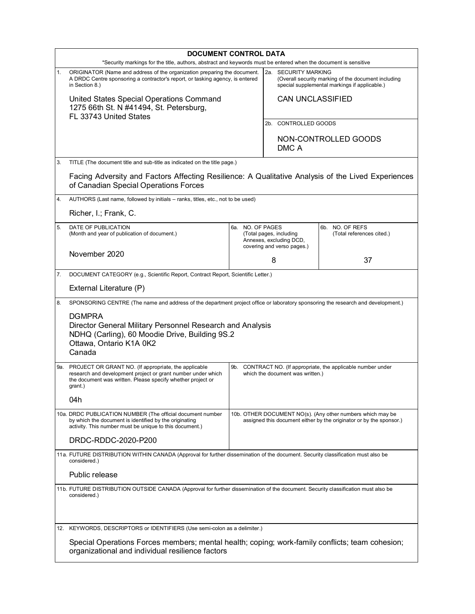|                     | <b>DOCUMENT CONTROL DATA</b>                                                                                                                                                                                        |                                                                                                                                   |  |                                                                                                      |                                              |  |  |
|---------------------|---------------------------------------------------------------------------------------------------------------------------------------------------------------------------------------------------------------------|-----------------------------------------------------------------------------------------------------------------------------------|--|------------------------------------------------------------------------------------------------------|----------------------------------------------|--|--|
| 1.                  | *Security markings for the title, authors, abstract and keywords must be entered when the document is sensitive<br>ORIGINATOR (Name and address of the organization preparing the document.<br>2a. SECURITY MARKING |                                                                                                                                   |  |                                                                                                      |                                              |  |  |
|                     | A DRDC Centre sponsoring a contractor's report, or tasking agency, is entered<br>in Section 8.)                                                                                                                     |                                                                                                                                   |  | (Overall security marking of the document including<br>special supplemental markings if applicable.) |                                              |  |  |
|                     | United States Special Operations Command<br>1275 66th St. N #41494, St. Petersburg,                                                                                                                                 |                                                                                                                                   |  | <b>CAN UNCLASSIFIED</b>                                                                              |                                              |  |  |
|                     | FL 33743 United States                                                                                                                                                                                              |                                                                                                                                   |  | 2b. CONTROLLED GOODS                                                                                 |                                              |  |  |
|                     |                                                                                                                                                                                                                     |                                                                                                                                   |  |                                                                                                      | NON-CONTROLLED GOODS                         |  |  |
|                     |                                                                                                                                                                                                                     |                                                                                                                                   |  | DMC A                                                                                                |                                              |  |  |
| 3.                  | TITLE (The document title and sub-title as indicated on the title page.)                                                                                                                                            |                                                                                                                                   |  |                                                                                                      |                                              |  |  |
|                     | Facing Adversity and Factors Affecting Resilience: A Qualitative Analysis of the Lived Experiences<br>of Canadian Special Operations Forces                                                                         |                                                                                                                                   |  |                                                                                                      |                                              |  |  |
| 4.                  |                                                                                                                                                                                                                     | AUTHORS (Last name, followed by initials - ranks, titles, etc., not to be used)                                                   |  |                                                                                                      |                                              |  |  |
|                     | Richer, I.; Frank, C.                                                                                                                                                                                               |                                                                                                                                   |  |                                                                                                      |                                              |  |  |
| 5.                  | DATE OF PUBLICATION<br>(Month and year of publication of document.)                                                                                                                                                 | 6a. NO. OF PAGES<br>(Total pages, including<br>Annexes, excluding DCD,<br>covering and verso pages.)<br>8                         |  |                                                                                                      | 6b. NO. OF REFS<br>(Total references cited.) |  |  |
|                     | November 2020                                                                                                                                                                                                       |                                                                                                                                   |  |                                                                                                      | 37                                           |  |  |
| 7.                  | DOCUMENT CATEGORY (e.g., Scientific Report, Contract Report, Scientific Letter.)                                                                                                                                    |                                                                                                                                   |  |                                                                                                      |                                              |  |  |
|                     | External Literature (P)                                                                                                                                                                                             |                                                                                                                                   |  |                                                                                                      |                                              |  |  |
| 8.                  | SPONSORING CENTRE (The name and address of the department project office or laboratory sponsoring the research and development.)                                                                                    |                                                                                                                                   |  |                                                                                                      |                                              |  |  |
|                     | <b>DGMPRA</b><br>Director General Military Personnel Research and Analysis<br>NDHQ (Carling), 60 Moodie Drive, Building 9S.2<br>Ottawa, Ontario K1A 0K2<br>Canada                                                   |                                                                                                                                   |  |                                                                                                      |                                              |  |  |
|                     | 9a. PROJECT OR GRANT NO. (If appropriate, the applicable<br>research and development project or grant number under which<br>the document was written. Please specify whether project or<br>grant.)                  | 9b. CONTRACT NO. (If appropriate, the applicable number under<br>which the document was written.)                                 |  |                                                                                                      |                                              |  |  |
|                     | 04h                                                                                                                                                                                                                 |                                                                                                                                   |  |                                                                                                      |                                              |  |  |
|                     | 10a. DRDC PUBLICATION NUMBER (The official document number<br>by which the document is identified by the originating<br>activity. This number must be unique to this document.)                                     | 10b. OTHER DOCUMENT NO(s). (Any other numbers which may be<br>assigned this document either by the originator or by the sponsor.) |  |                                                                                                      |                                              |  |  |
| DRDC-RDDC-2020-P200 |                                                                                                                                                                                                                     |                                                                                                                                   |  |                                                                                                      |                                              |  |  |
|                     | considered.)                                                                                                                                                                                                        | 11a. FUTURE DISTRIBUTION WITHIN CANADA (Approval for further dissemination of the document. Security classification must also be  |  |                                                                                                      |                                              |  |  |
|                     | Public release                                                                                                                                                                                                      |                                                                                                                                   |  |                                                                                                      |                                              |  |  |
|                     | 11b. FUTURE DISTRIBUTION OUTSIDE CANADA (Approval for further dissemination of the document. Security classification must also be<br>considered.)                                                                   |                                                                                                                                   |  |                                                                                                      |                                              |  |  |
|                     | 12. KEYWORDS, DESCRIPTORS or IDENTIFIERS (Use semi-colon as a delimiter.)                                                                                                                                           |                                                                                                                                   |  |                                                                                                      |                                              |  |  |
|                     | Special Operations Forces members; mental health; coping; work-family conflicts; team cohesion;<br>organizational and individual resilience factors                                                                 |                                                                                                                                   |  |                                                                                                      |                                              |  |  |